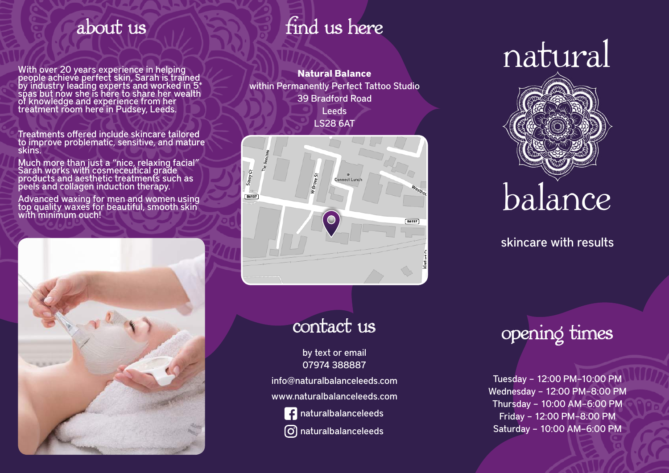With over 20 years experience in helping people achieve perfect skin, Sarah is traine<u>d</u> by industry leading experts and worked in 5\* spas but now she is here to share her wealth of knowledge and experience from her treatment rŏom here'in Pudsey, Leeds.

Treatments offered include skincare tailored to improve problematic, sensitive, and mature skins.

Much more than just a "nice, relaxing facial" Sarah works with cosmeceutical grade products and aesthetic treatments such as peels and collagen induction therapy.

Advanced waxing for men and women using top quality waxes for beautiful, smooth skin with minimum ouch!



### about us find us here

**Natural Balance** within Permanently Perfect Tattoo Studio 39 Bradford Road Leeds LS28 6AT



### contact us

by text or email 07974 388887

info@naturalbalanceleeds.com www.naturalbalanceleeds.com



**f** naturalbalanceleeds

naturalbalanceleeds

# natural



skincare with results

## opening times

Tuesday – 12:00 PM–10:00 PM Wednesday – 12:00 PM–8:00 PM Thursday – 10:00 AM–6:00 PM Friday – 12:00 PM–8:00 PM Saturday – 10:00 AM–6:00 PM